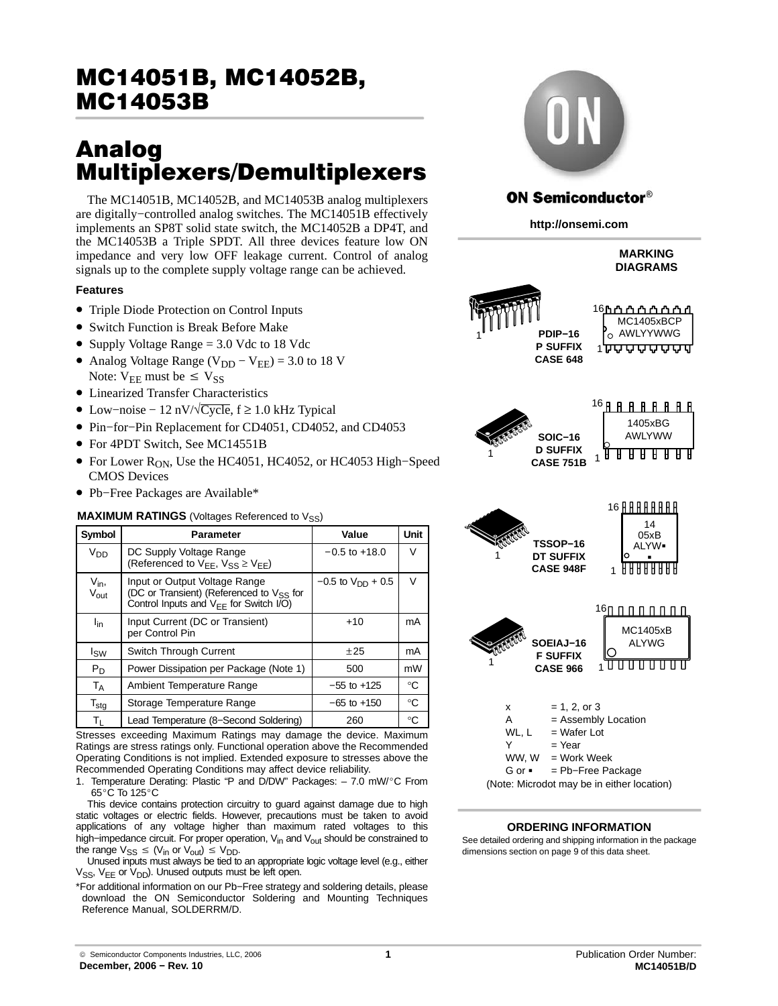# MC14051B, MC14052B,<br>MC14053B  $\frac{\cdots}{\cdots}$

# Analog<br>Multiplexers/Demultiplexers

The MC14051B, MC14052B, and MC14053B analog multiplexers are digitally−controlled analog switches. The MC14051B effectively implements an SP8T solid state switch, the MC14052B a DP4T, and the MC14053B a Triple SPDT. All three devices feature low ON impedance and very low OFF leakage current. Control of analog signals up to the complete supply voltage range can be achieved.

## **Features**

- Triple Diode Protection on Control Inputs
- Switch Function is Break Before Make
- Supply Voltage Range = 3.0 Vdc to 18 Vdc
- Analog Voltage Range ( $V_{DD} V_{EE}$ ) = 3.0 to 18 V Note:  $V_{EE}$  must be  $\leq V_{SS}$
- Linearized Transfer Characteristics
- Low−noise − 12 nV/√Cycle, f ≥ 1.0 kHz Typical
- Pin−for−Pin Replacement for CD4051, CD4052, and CD4053
- For 4PDT Switch, See MC14551B
- For Lower R<sub>ON</sub>, Use the HC4051, HC4052, or HC4053 High–Speed CMOS Devices
- Pb−Free Packages are Available\*

#### **MAXIMUM RATINGS** (Voltages Referenced to V<sub>SS</sub>)

| Symbol                                | Parameter                                                                                                                                   | Value                    | Unit        |
|---------------------------------------|---------------------------------------------------------------------------------------------------------------------------------------------|--------------------------|-------------|
| V <sub>DD</sub>                       | DC Supply Voltage Range<br>(Referenced to $V_{EE}$ , $V_{SS} \geq V_{EE}$ )                                                                 | $-0.5$ to $+18.0$        | v           |
| V <sub>in</sub> ,<br>V <sub>out</sub> | Input or Output Voltage Range<br>(DC or Transient) (Referenced to V <sub>SS</sub> for<br>Control Inputs and V <sub>EE</sub> for Switch I/O) | $-0.5$ to $V_{DD}$ + 0.5 | $\vee$      |
| l <sub>in</sub>                       | Input Current (DC or Transient)<br>per Control Pin                                                                                          | $+10$                    | mA          |
| Isw                                   | Switch Through Current                                                                                                                      | $+25$                    | mA          |
| $P_D$                                 | Power Dissipation per Package (Note 1)                                                                                                      | 500                      | mW          |
| $T_A$                                 | Ambient Temperature Range                                                                                                                   | $-55$ to $+125$          | $^{\circ}C$ |
| $\mathsf{T}_{\mathsf{stg}}$           | Storage Temperature Range                                                                                                                   | $-65$ to $+150$          | $^{\circ}C$ |
| Tı                                    | Lead Temperature (8-Second Soldering)                                                                                                       | 260                      | °C          |

Stresses exceeding Maximum Ratings may damage the device. Maximum Ratings are stress ratings only. Functional operation above the Recommended Operating Conditions is not implied. Extended exposure to stresses above the Recommended Operating Conditions may affect device reliability.

1. Temperature Derating: Plastic "P and D/DW" Packages: – 7.0 mW/-C From funiperature De

This device contains protection circuitry to guard against damage due to high static voltages or electric fields. However, precautions must be taken to avoid applications of any voltage higher than maximum rated voltages to this high–impedance circuit. For proper operation, V<sub>in</sub> and V<sub>out</sub> should be constrained to the range  $V_{SS} \leq (V_{in} \text{ or } V_{out}) \leq V_{DD}$ .

Unused inputs must always be tied to an appropriate logic voltage level (e.g., either V<sub>SS</sub>, V<sub>EE</sub> or V<sub>DD</sub>). Unused outputs must be left open.

\*For additional information on our Pb−Free strategy and soldering details, please download the ON Semiconductor Soldering and Mounting Techniques Reference Manual, SOLDERRM/D.



#### **ON Semiconductor® http://onsemi.com MARKING DIAGRAMS** 16 MC1405xBCP AWLYYWWG **PDIP−16** 1**P SUFFIX** 1 ਸ਼ਾਸ਼ਾਸ਼ਾਸ਼ਾਸ਼ਾਸ਼ **CASE 648** 16 **A A A A A A A A A A A A A A A A A** 1405xBG **SOIC−16** AWLYWW **D SUFFIX** <u> 8 8 8 8 8 8 8</u> 1 1 **CASE 751B 16 A A A A A A A A A A A A A A A A A** 14 05xB<br>ALYW **TSSOP−16** ALYW <sup>1</sup> **DT SUFFIX** 1 <u>AARAARAA</u> **CASE 948F** 16 | | | | | | | | | | | | MC1405xB **SOEIAJ−16** ALYWG **F SUFFIX**  $1$ 1 **CASE 966**  $x = 1, 2, or 3$ A = Assembly Location WL,  $L = Water$  Lot  $Y = Y_{\text{PAP}}$ WW,  $W = Work Week$ G or = Pb−Free Package

#### **ORDERING INFORMATION**

(Note: Microdot may be in either location)

See detailed ordering and shipping information in the package dimensions section on page [9 of this data sheet.](#page-8-0)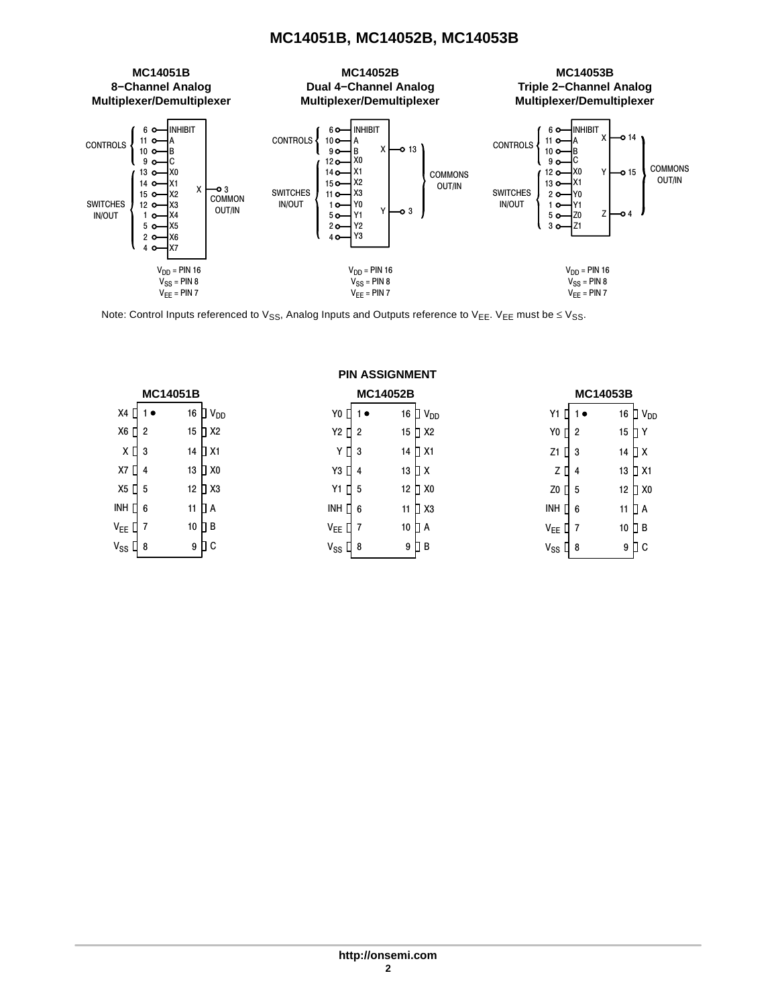

Note: Control Inputs referenced to V<sub>SS</sub>, Analog Inputs and Outputs reference to V<sub>EE</sub>. V<sub>EE</sub> must be  $\leq$  V<sub>SS</sub>.

**PIN ASSIGNMENT**

|                                           | <b>MC14051B</b> |    |                           |                    | <b>MC14052B</b> |                           |                   | <b>MC14053B</b> |                   |                    |
|-------------------------------------------|-----------------|----|---------------------------|--------------------|-----------------|---------------------------|-------------------|-----------------|-------------------|--------------------|
| $X4$ $\Pi$                                | 1●              |    | 16 $\Box$ V <sub>DD</sub> | Y0                 | 1∙              | 16 $\Box$ V <sub>DD</sub> | Y1                | 1●              |                   | 16 $\Box$ $V_{DD}$ |
| X6 ∏ 2                                    |                 | 15 | $\mathsf{L}$ X2           | Y2<br>$\Pi$ 2      |                 | 15 <b>∐</b> X2            | Y <sub>0</sub>    | П2              | 15 D Y            |                    |
| $X \mathbf{0}$ 3                          |                 |    | 14 D X1                   | YП                 | -3              | 14 D X1                   | Z1                | $\Box$ 3        | 14 D X            |                    |
| X7 []                                     | -4              | 13 | $\Box$ X0                 | Y3 □ 4             |                 | 13 D X                    | zΠ                | $\overline{4}$  |                   | 13 D X1            |
| X5 <b>[</b> 5                             |                 | 12 | $\Box$ X3                 | Y1 [ 1 5           |                 | 12 D X <sub>0</sub>       | Z0 [ 5            |                 |                   | 12 N X 0           |
| INH [] 6                                  |                 |    | 11 D A                    | INH $\prod$ 6      |                 | 11 $\Box$ X3              | INH $\Gamma$ 6    |                 | 11 <sup>D</sup> A |                    |
| $V_{EE}$ [] 7                             |                 |    | 10 $\Box$ B               | $V_{EE}$ 0 7       |                 | 10 D A                    | $V_{EE}$          | l 7             | 10 $\Box$ B       |                    |
| $\mathsf{V}_{\mathsf{SS}} \mathsf{\Pi}$ 8 |                 |    | $9$ $\Box$ $C$            | $V_{SS}$ $\prod$ 8 |                 | 9 [ B                     | $V_{SS}$ $\Box$ 8 |                 |                   | 9 ∐ C              |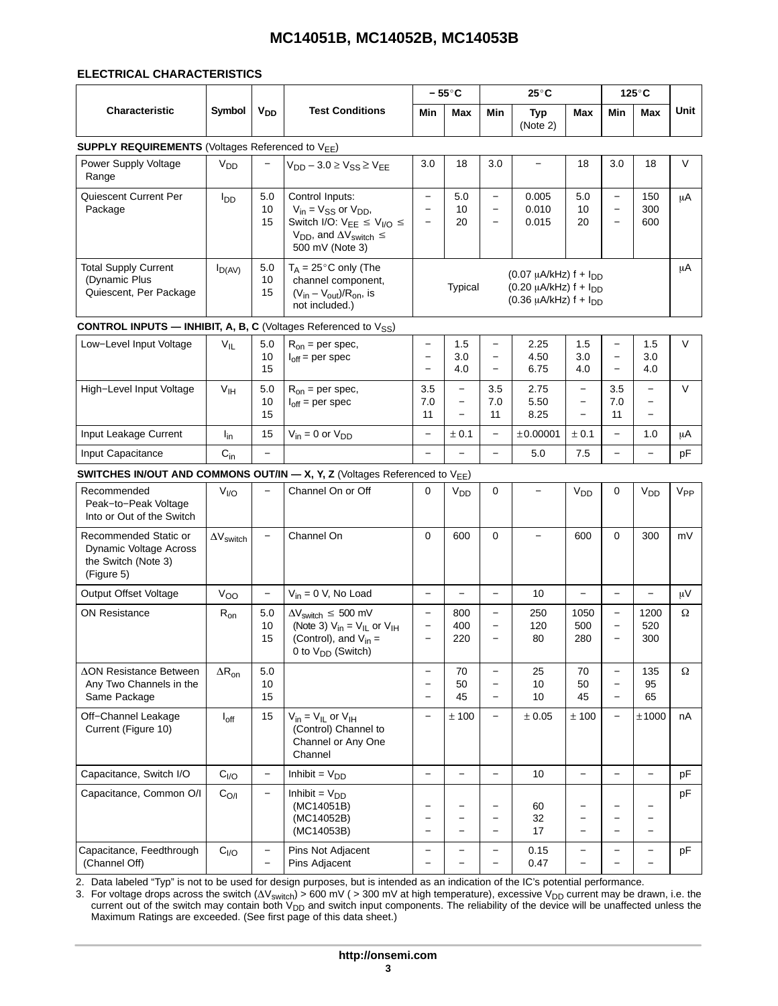#### ELECTRICAL CHARACTERISTICS

|                                                                                      |                       |                          |                                                                                                                                                          | $-55^{\circ}$ C                                                           |                                                                  | $25^{\circ}$ C                                                                   |                                                                                                       | $125^\circ$ C                                                                    |                                                                           |                                                                                  |          |
|--------------------------------------------------------------------------------------|-----------------------|--------------------------|----------------------------------------------------------------------------------------------------------------------------------------------------------|---------------------------------------------------------------------------|------------------------------------------------------------------|----------------------------------------------------------------------------------|-------------------------------------------------------------------------------------------------------|----------------------------------------------------------------------------------|---------------------------------------------------------------------------|----------------------------------------------------------------------------------|----------|
| Characteristic                                                                       | Symbol                | <b>V<sub>DD</sub></b>    | <b>Test Conditions</b>                                                                                                                                   | Min                                                                       | <b>Max</b>                                                       | Min                                                                              | <b>Typ</b><br>(Note 2)                                                                                | Max                                                                              | Min                                                                       | <b>Max</b>                                                                       | Unit     |
| <b>SUPPLY REQUIREMENTS (Voltages Referenced to VEE)</b>                              |                       |                          |                                                                                                                                                          |                                                                           |                                                                  |                                                                                  |                                                                                                       |                                                                                  |                                                                           |                                                                                  |          |
| Power Supply Voltage<br>Range                                                        | <b>V<sub>DD</sub></b> |                          | $V_{DD}$ – 3.0 $\geq$ $V_{SS}$ $\geq$ $V_{EE}$                                                                                                           | 3.0                                                                       | 18                                                               | 3.0                                                                              | $\qquad \qquad -$                                                                                     | 18                                                                               | 3.0                                                                       | 18                                                                               | V        |
| Quiescent Current Per<br>Package                                                     | l <sub>DD</sub>       | 5.0<br>10<br>15          | Control Inputs:<br>$V_{in} = V_{SS}$ or $V_{DD}$ ,<br>Switch I/O: $V_{EE} \le V_{I/O} \le$<br>$V_{DD}$ , and $\Delta V_{switch} \leq$<br>500 mV (Note 3) | $\overline{\phantom{0}}$<br>$\qquad \qquad -$<br>$\overline{\phantom{m}}$ | 5.0<br>10<br>20                                                  | $\overline{\phantom{0}}$<br>$\overline{\phantom{a}}$<br>$\overline{\phantom{0}}$ | 0.005<br>0.010<br>0.015                                                                               | 5.0<br>10<br>20                                                                  | $\qquad \qquad -$<br>$\overline{\phantom{0}}$<br>$\overline{\phantom{0}}$ | 150<br>300<br>600                                                                | μA       |
| <b>Total Supply Current</b><br>(Dynamic Plus<br>Quiescent, Per Package               | $I_{D(AV)}$           | 5.0<br>10<br>15          | $T_A = 25^\circ \text{C}$ only (The<br>channel component,<br>$(V_{in} - V_{out})/R_{on}$ , is<br>not included.)                                          |                                                                           | Typical                                                          |                                                                                  | $(0.07 \mu A/kHz)$ f + $I_{DD}$<br>$(0.20 \mu A/kHz)$ f + $I_{DD}$<br>$(0.36 \mu A/kHz)$ f + $I_{DD}$ |                                                                                  |                                                                           |                                                                                  | μA       |
| <b>CONTROL INPUTS - INHIBIT, A, B, C</b> (Voltages Referenced to $V_{SS}$ )          |                       |                          |                                                                                                                                                          |                                                                           |                                                                  |                                                                                  |                                                                                                       |                                                                                  |                                                                           |                                                                                  |          |
| Low-Level Input Voltage                                                              | $V_{IL}$              | 5.0<br>10<br>15          | $R_{on}$ = per spec,<br>$I_{off}$ = per spec                                                                                                             | $\qquad \qquad -$<br>$\qquad \qquad -$<br>$\qquad \qquad -$               | 1.5<br>3.0<br>4.0                                                | $\overline{\phantom{m}}$<br>$\overline{\phantom{0}}$<br>$\overline{\phantom{a}}$ | 2.25<br>4.50<br>6.75                                                                                  | 1.5<br>3.0<br>4.0                                                                | $\overline{\phantom{0}}$<br>$\overline{\phantom{0}}$<br>$\qquad \qquad -$ | 1.5<br>3.0<br>4.0                                                                | $\vee$   |
| High-Level Input Voltage                                                             | V <sub>IH</sub>       | 5.0<br>10<br>15          | $R_{on}$ = per spec,<br>$I_{off}$ = per spec                                                                                                             | 3.5<br>7.0<br>11                                                          | $\equiv$<br>$\overline{\phantom{a}}$<br>$\overline{\phantom{m}}$ | 3.5<br>7.0<br>11                                                                 | 2.75<br>5.50<br>8.25                                                                                  | $\overline{\phantom{0}}$<br>$\overline{\phantom{m}}$<br>$\overline{\phantom{0}}$ | 3.5<br>7.0<br>11                                                          | $\equiv$<br>$\overline{\phantom{m}}$<br>$\overline{\phantom{0}}$                 | $\vee$   |
| Input Leakage Current                                                                | $I_{in}$              | 15                       | $V_{in} = 0$ or $V_{DD}$                                                                                                                                 | $\overline{\phantom{m}}$                                                  | ± 0.1                                                            | $\overline{\phantom{a}}$                                                         | ±0.00001                                                                                              | ± 0.1                                                                            | $\overline{\phantom{0}}$                                                  | 1.0                                                                              | μA       |
| Input Capacitance                                                                    | $C_{in}$              | $\overline{\phantom{0}}$ |                                                                                                                                                          | $\overline{\phantom{0}}$                                                  | $\equiv$                                                         | $\equiv$                                                                         | 5.0                                                                                                   | 7.5                                                                              | -                                                                         | $\overline{\phantom{0}}$                                                         | pF       |
|                                                                                      |                       |                          | SWITCHES IN/OUT AND COMMONS OUT/IN - X, Y, Z (Voltages Referenced to VEE)                                                                                |                                                                           |                                                                  |                                                                                  |                                                                                                       |                                                                                  |                                                                           |                                                                                  |          |
| Recommended<br>Peak-to-Peak Voltage<br>Into or Out of the Switch                     | V <sub>1/O</sub>      |                          | Channel On or Off                                                                                                                                        | 0                                                                         | $V_{DD}$                                                         | 0                                                                                | $\qquad \qquad -$                                                                                     | V <sub>DD</sub>                                                                  | 0                                                                         | V <sub>DD</sub>                                                                  | $V_{PP}$ |
| Recommended Static or<br>Dynamic Voltage Across<br>the Switch (Note 3)<br>(Figure 5) | $\Delta V$ switch     | $\overline{\phantom{m}}$ | Channel On                                                                                                                                               | $\Omega$                                                                  | 600                                                              | $\mathbf 0$                                                                      | $\equiv$                                                                                              | 600                                                                              | $\Omega$                                                                  | 300                                                                              | mV       |
| <b>Output Offset Voltage</b>                                                         | V <sub>OO</sub>       | $\overline{\phantom{0}}$ | $V_{in} = 0$ V, No Load                                                                                                                                  | $\equiv$                                                                  | $\overline{\phantom{0}}$                                         | $\overline{\phantom{0}}$                                                         | 10                                                                                                    | $\overline{\phantom{0}}$                                                         | $\overline{\phantom{0}}$                                                  | $\overline{\phantom{0}}$                                                         | μV       |
| <b>ON Resistance</b>                                                                 | $R_{on}$              | 5.0<br>10<br>15          | $\Delta V_{switch} \leq 500$ mV<br>(Note 3) $V_{in} = V_{IL}$ or $V_{IH}$<br>(Control), and $V_{in}$ =<br>0 to $V_{DD}$ (Switch)                         | $\qquad \qquad -$<br>$\overline{\phantom{m}}$<br>$\qquad \qquad$          | 800<br>400<br>220                                                | $\overline{\phantom{m}}$<br>$\overline{\phantom{m}}$                             | 250<br>120<br>80                                                                                      | 1050<br>500<br>280                                                               | $\qquad \qquad -$<br>$\qquad \qquad -$                                    | 1200<br>520<br>300                                                               | Ω        |
| <b>ΔON Resistance Between</b><br>Any Two Channels in the<br>Same Package             | $\Delta R_{on}$       | 5.0<br>10<br>15          |                                                                                                                                                          | $\equiv$<br>$\qquad \qquad -$<br>$\overline{\phantom{0}}$                 | 70<br>50<br>45                                                   | $\overline{\phantom{m}}$<br>$\overline{\phantom{m}}$<br>$\overline{\phantom{m}}$ | 25<br>10<br>10                                                                                        | 70<br>50<br>45                                                                   | $\overline{\phantom{0}}$<br>$\qquad \qquad -$<br>$\qquad \qquad -$        | 135<br>95<br>65                                                                  | Ω        |
| Off-Channel Leakage<br>Current (Figure 10)                                           | $I_{off}$             | 15                       | $V_{in} = V_{IL}$ or $V_{IH}$<br>(Control) Channel to<br>Channel or Any One<br>Channel                                                                   | $\overline{\phantom{0}}$                                                  | ± 100                                                            | $\overline{\phantom{m}}$                                                         | ± 0.05                                                                                                | ± 100                                                                            | $\overline{\phantom{0}}$                                                  | ±1000                                                                            | nA       |
| Capacitance, Switch I/O                                                              | C <sub>I/O</sub>      | $\overline{\phantom{m}}$ | Inhibit = $V_{DD}$                                                                                                                                       | $\overline{\phantom{0}}$                                                  | $\equiv$                                                         | $\overline{\phantom{m}}$                                                         | 10                                                                                                    | $\overline{\phantom{0}}$                                                         | $\overline{\phantom{m}}$                                                  | $\overline{\phantom{m}}$                                                         | pF       |
| Capacitance, Common O/I                                                              | C <sub>O/I</sub>      |                          | Inhibit = $V_{DD}$<br>(MC14051B)<br>(MC14052B)<br>(MC14053B)                                                                                             | $\qquad \qquad -$<br>-<br>$\overline{\phantom{0}}$                        | $\overline{\phantom{0}}$<br>$\qquad \qquad -$                    | $\overline{\phantom{m}}$<br>$\overline{\phantom{m}}$                             | 60<br>32<br>17                                                                                        | $\qquad \qquad -$                                                                | -<br>-                                                                    | $\overline{\phantom{0}}$<br>$\overline{\phantom{m}}$<br>$\overline{\phantom{0}}$ | pF       |
| Capacitance, Feedthrough<br>(Channel Off)                                            | C <sub>I/O</sub>      | $\overline{\phantom{m}}$ | Pins Not Adjacent<br>Pins Adjacent                                                                                                                       | $\qquad \qquad -$                                                         | $\qquad \qquad -$                                                | $\overline{\phantom{m}}$                                                         | 0.15<br>0.47                                                                                          | -                                                                                | $\overline{\phantom{0}}$                                                  | $\overline{\phantom{m}}$                                                         | pF       |

3. For voltage drops across the switch ( $\Delta\rm{V}_{switch}$ ) > 600 mV ( > 300 mV at high temperature), excessive  $\rm{V}_{DD}$  current may be drawn, i.e. the current out of the switch may contain both V<sub>DD</sub> and switch input components. The reliability of the device will be unaffected unless the<br>Maximum Ratings are exceeded. (See first page of this data sheet.)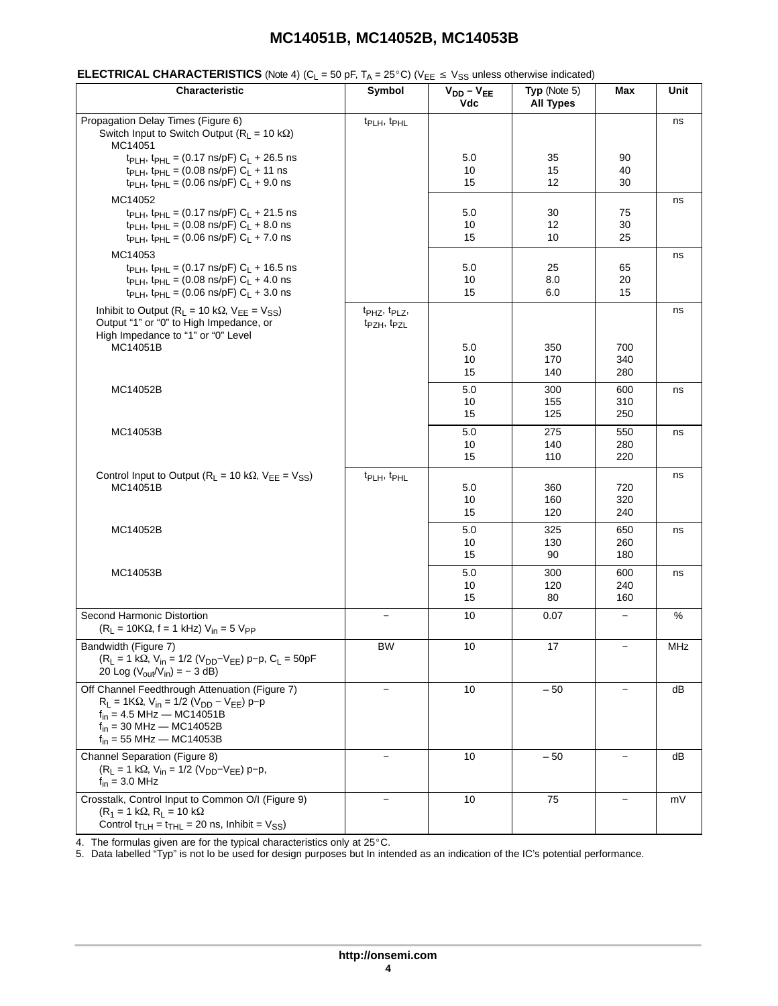| Characteristic                                                                                                                                                                                                          | Symbol                                                                       | $V_{DD} - V_{EE}$<br>Vdc | Typ (Note $5$ )<br><b>All Types</b> | Max                      | Unit |
|-------------------------------------------------------------------------------------------------------------------------------------------------------------------------------------------------------------------------|------------------------------------------------------------------------------|--------------------------|-------------------------------------|--------------------------|------|
| Propagation Delay Times (Figure 6)<br>Switch Input to Switch Output ( $R_1 = 10 \text{ k}\Omega$ )<br>MC14051                                                                                                           | t <sub>PLH</sub> , t <sub>PHL</sub>                                          |                          |                                     |                          | ns   |
| t <sub>PLH</sub> , t <sub>PHL</sub> = (0.17 ns/pF) $C_L$ + 26.5 ns<br>t <sub>PLH</sub> , t <sub>PHL</sub> = (0.08 ns/pF) $C_L$ + 11 ns<br>t <sub>PLH</sub> , t <sub>PHL</sub> = (0.06 ns/pF) $C_L$ + 9.0 ns             |                                                                              | 5.0<br>10<br>15          | 35<br>15<br>12                      | 90<br>40<br>30           |      |
| MC14052<br>t <sub>PLH</sub> , t <sub>PHL</sub> = (0.17 ns/pF) $C_L$ + 21.5 ns<br>t <sub>PLH</sub> , t <sub>PHL</sub> = (0.08 ns/pF) $C_L$ + 8.0 ns<br>t <sub>PLH</sub> , t <sub>PHL</sub> = (0.06 ns/pF) $C_L$ + 7.0 ns |                                                                              | 5.0<br>10<br>15          | 30<br>12<br>10                      | 75<br>30<br>25           | ns   |
| MC14053<br>t <sub>PLH</sub> , t <sub>PHL</sub> = (0.17 ns/pF) $C_L$ + 16.5 ns<br>t <sub>PLH</sub> , t <sub>PHL</sub> = (0.08 ns/pF) $C_L$ + 4.0 ns<br>$t_{PLH}$ , $t_{PHL}$ = (0.06 ns/pF) $C_L$ + 3.0 ns               |                                                                              | 5.0<br>10<br>15          | 25<br>8.0<br>6.0                    | 65<br>20<br>15           | ns   |
| Inhibit to Output ( $R_L$ = 10 k $\Omega$ , $V_{EE}$ = $V_{SS}$ )<br>Output "1" or "0" to High Impedance, or<br>High Impedance to "1" or "0" Level<br>MC14051B                                                          | t <sub>PHZ</sub> , t <sub>PLZ</sub> ,<br>t <sub>PZH</sub> , t <sub>PZL</sub> | 5.0                      | 350                                 | 700                      | ns   |
|                                                                                                                                                                                                                         |                                                                              | 10<br>15                 | 170<br>140                          | 340<br>280               |      |
| MC14052B                                                                                                                                                                                                                |                                                                              | 5.0<br>10<br>15          | 300<br>155<br>125                   | 600<br>310<br>250        | ns   |
| MC14053B                                                                                                                                                                                                                |                                                                              | 5.0<br>10<br>15          | 275<br>140<br>110                   | 550<br>280<br>220        | ns   |
| Control Input to Output ( $R_L = 10 k\Omega$ , $V_{EE} = V_{SS}$ )<br>MC14051B                                                                                                                                          | t <sub>PLH</sub> , t <sub>PHL</sub>                                          | 5.0<br>10<br>15          | 360<br>160<br>120                   | 720<br>320<br>240        | ns   |
| MC14052B                                                                                                                                                                                                                |                                                                              | 5.0<br>10<br>15          | 325<br>130<br>90                    | 650<br>260<br>180        | ns   |
| MC14053B                                                                                                                                                                                                                |                                                                              | 5.0<br>10<br>15          | 300<br>120<br>80                    | 600<br>240<br>160        | ns   |
| Second Harmonic Distortion<br>$(R_L = 10K\Omega, f = 1 kHz) V_{in} = 5 V_{PP}$                                                                                                                                          | $\overline{\phantom{m}}$                                                     | 10                       | 0.07                                | $\overline{\phantom{m}}$ | %    |
| Bandwidth (Figure 7)<br>$(R_L = 1 k\Omega, V_{in} = 1/2 (V_{DD} - V_{EE}) p - p, C_L = 50pF$<br>20 Log $(V_{\text{out}}/V_{\text{in}}) = -3$ dB)                                                                        | <b>BW</b>                                                                    | 10                       | 17                                  | $\qquad \qquad -$        | MHz  |
| Off Channel Feedthrough Attenuation (Figure 7)<br>$R_L = 1K\Omega$ , $V_{in} = 1/2$ ( $V_{DD} - V_{EE}$ ) p-p<br>$f_{in}$ = 4.5 MHz – MC14051B<br>$f_{in}$ = 30 MHz — MC14052B<br>$f_{in}$ = 55 MHz — MC14053B          | $\equiv$                                                                     | 10                       | $-50$                               |                          | dB   |
| Channel Separation (Figure 8)<br>$(R_L = 1 k\Omega, V_{in} = 1/2 (V_{DD} - V_{EE}) p - p,$<br>$f_{in}$ = 3.0 MHz                                                                                                        | $\overline{\phantom{0}}$                                                     | 10                       | $-50$                               |                          | dB   |
| Crosstalk, Control Input to Common O/I (Figure 9)<br>$(R_1 = 1 k\Omega, R_1 = 10 k\Omega)$<br>Control $t_{\text{TLH}} = t_{\text{THL}} = 20 \text{ ns}$ , Inhibit = $V_{SS}$ )                                          | $\overline{\phantom{m}}$                                                     | 10                       | 75                                  |                          | mV   |

4. The formulas given are for the typical characteristics only at 25°C.

5. Data labelled "Typ" is not lo be used for design purposes but In intended as an indication of the IC's potential performance.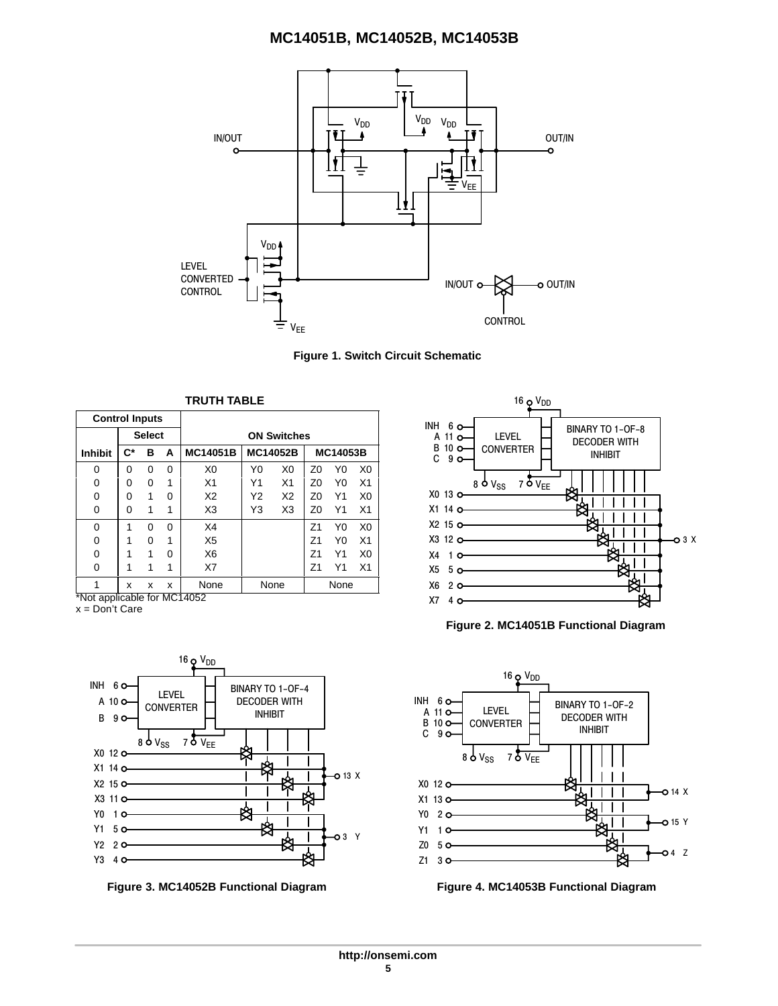

**Figure 1. Switch Circuit Schematic**

|                       | <b>TRUTH TABLE</b> |               |          |                  |    |                    |                |                 |                |
|-----------------------|--------------------|---------------|----------|------------------|----|--------------------|----------------|-----------------|----------------|
| <b>Control Inputs</b> |                    |               |          |                  |    |                    |                |                 |                |
|                       |                    | <b>Select</b> |          |                  |    | <b>ON Switches</b> |                |                 |                |
| <b>Inhibit</b>        | $\mathbf{C}^*$     | в             | A        | <b>MC14051B</b>  |    | <b>MC14052B</b>    |                | <b>MC14053B</b> |                |
| 0                     | 0                  | 0             | $\Omega$ | X <sub>0</sub>   | Y0 | X <sub>0</sub>     | Z <sub>0</sub> | Y0              | X0             |
| 0                     | 0                  | 0             | 1        | X <sub>1</sub>   | Υ1 | X <sub>1</sub>     | Z0             | Y0              | X <sub>1</sub> |
| 0                     | 0                  | 1             | 0        | X2               | Υ2 | X <sub>2</sub>     | Z0             | Υ1              | X <sub>0</sub> |
| $\Omega$              | 0                  | 1             | 1        | X <sub>3</sub>   | Y3 | X <sub>3</sub>     | Z <sub>0</sub> | Υ1              | X <sub>1</sub> |
| $\Omega$              | 1                  | 0             | $\Omega$ | X4               |    |                    | Z1             | Y0              | X <sub>0</sub> |
| 0                     | 1                  | O             | 1        | X <sub>5</sub>   |    |                    | 71             | Y٥              | X <sub>1</sub> |
| 0                     | 1                  | 1             | 0        | X <sub>6</sub>   |    |                    | 71             | Υ1              | X <sub>0</sub> |
| $\Omega$              | 1                  | 1             | 1        | X7               |    |                    | Ζ1             | Υ1              | X <sub>1</sub> |
| $\overline{a}$        | x                  | x             | x        | None<br>$\cdots$ |    | None               |                | None            |                |

\*Not applicable for MC14052

x = Don't Care







**Figure 2. MC14051B Functional Diagram**



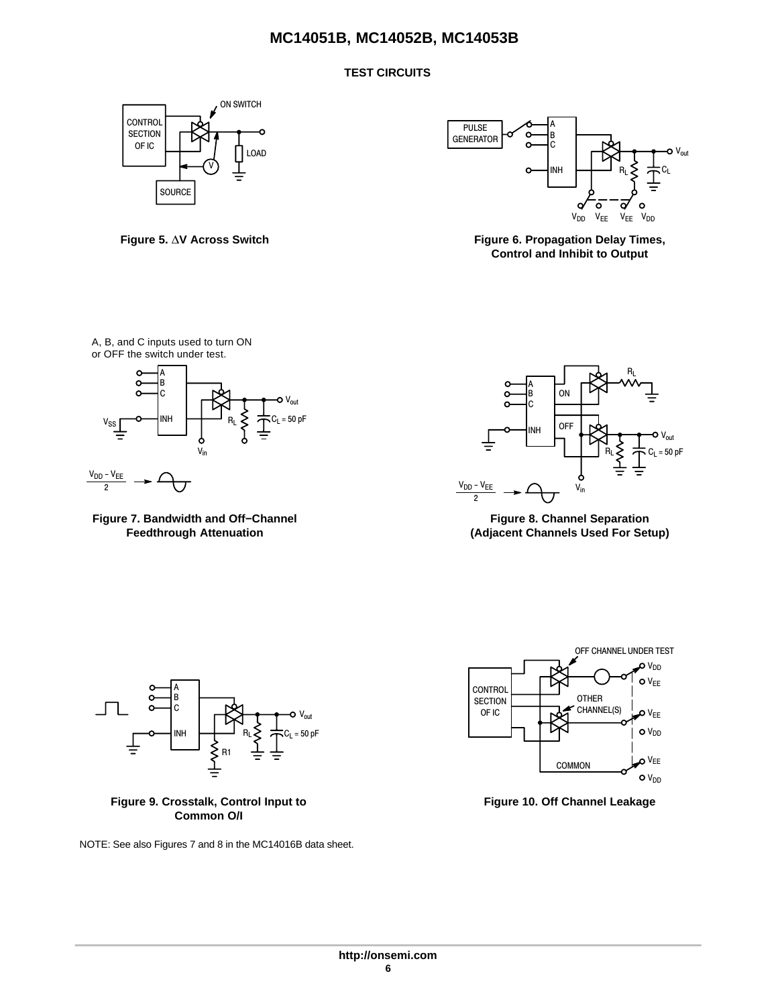# **TEST CIRCUITS**



Figure 5.  $\Delta$ V Across Switch



**Figure 6. Propagation Delay Times, Control and Inhibit to Output**

A, B, and C inputs used to turn ON or OFF the switch under test.



**Figure 7. Bandwidth and Off−Channel Feedthrough Attenuation**



**Figure 8. Channel Separation (Adjacent Channels Used For Setup)**





NOTE: See also Figures 7 and 8 in the MC14016B data sheet.



**Figure 10. Off Channel Leakage**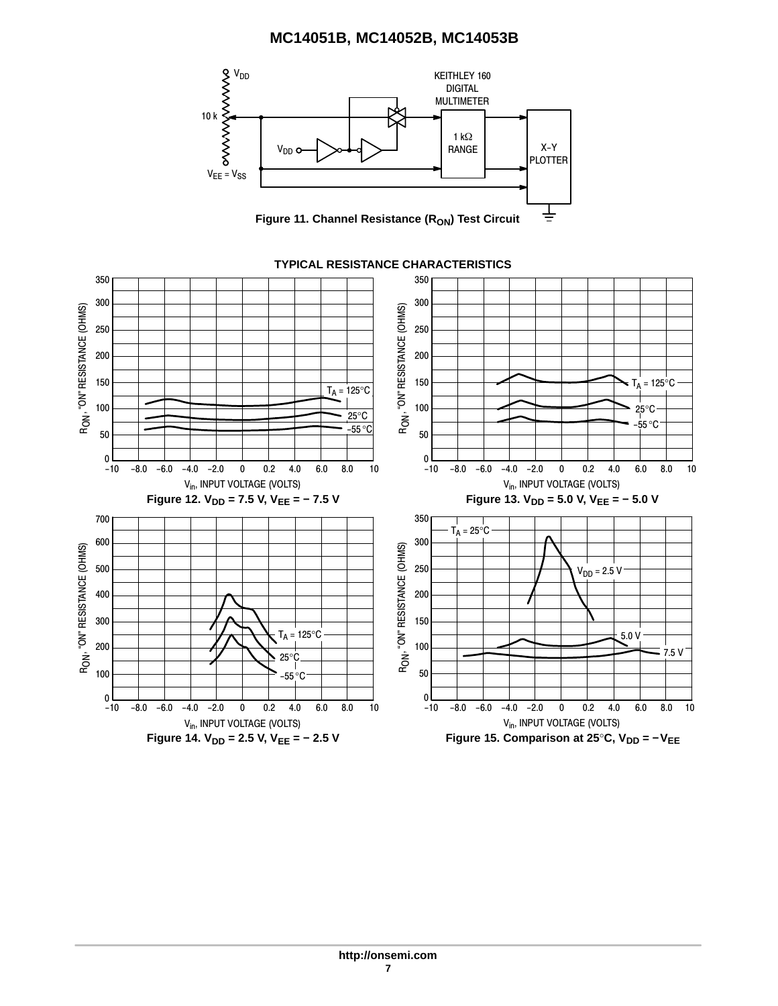

## **TYPICAL RESISTANCE CHARACTERISTICS**

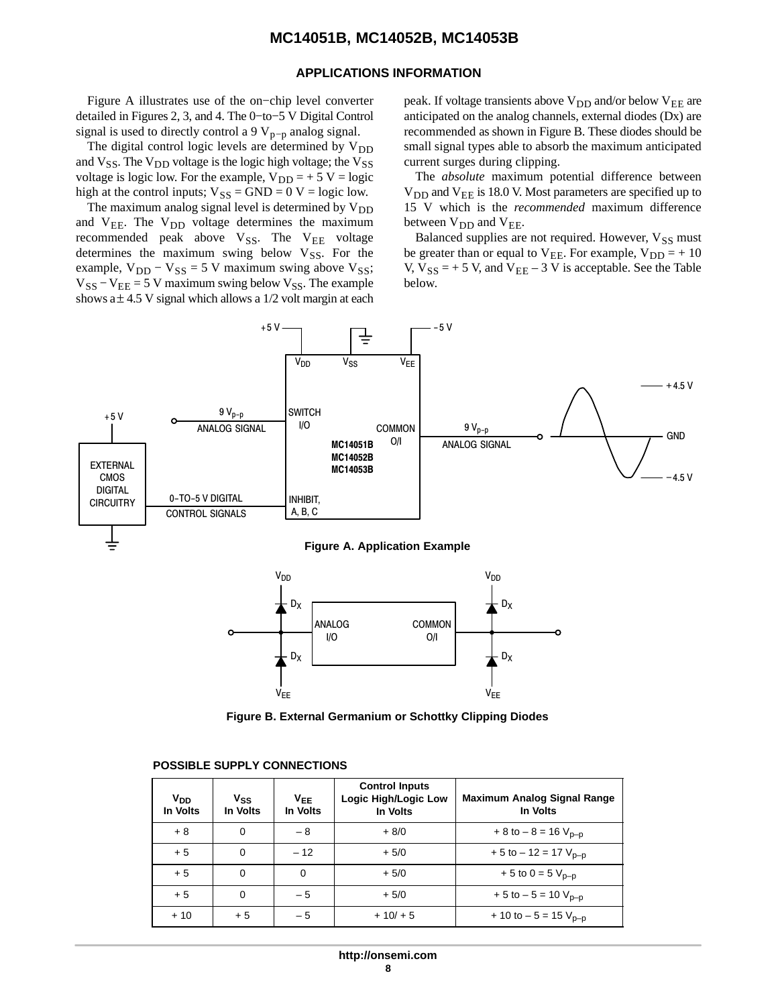#### **APPLICATIONS INFORMATION**

Figure A illustrates use of the on−chip level converter detailed in Figures 2, 3, and 4. The 0−to−5 V Digital Control signal is used to directly control a 9  $V_{p-p}$  analog signal.

The digital control logic levels are determined by  $V_{DD}$ and  $V_{SS}$ . The  $V_{DD}$  voltage is the logic high voltage; the  $V_{SS}$ voltage is logic low. For the example,  $V_{DD} = +5 V = logic$ high at the control inputs;  $V_{SS} = GND = 0$  V = logic low.

The maximum analog signal level is determined by  $V_{DD}$ and  $V_{EE}$ . The  $V_{DD}$  voltage determines the maximum recommended peak above  $V_{SS}$ . The  $V_{EE}$  voltage determines the maximum swing below  $V_{SS}$ . For the example,  $V_{DD} - V_{SS} = 5 V$  maximum swing above  $V_{SS}$ ;  $V_{SS} - V_{EE} = 5$  V maximum swing below  $V_{SS}$ . The example shows a  $\pm$  4.5 V signal which allows a 1/2 volt margin at each peak. If voltage transients above  $V_{DD}$  and/or below  $V_{EE}$  are anticipated on the analog channels, external diodes (Dx) are recommended as shown in Figure B. These diodes should be small signal types able to absorb the maximum anticipated current surges during clipping.

The *absolute* maximum potential difference between  $V_{DD}$  and  $V_{EE}$  is 18.0 V. Most parameters are specified up to 15 V which is the *recommended* maximum difference between  $V_{DD}$  and  $V_{EE}$ .

Balanced supplies are not required. However,  $V_{SS}$  must be greater than or equal to  $V_{EE}$ . For example,  $V_{DD} = +10$ V,  $V_{SS}$  = + 5 V, and  $V_{EE}$  – 3 V is acceptable. See the Table below.



**Figure B. External Germanium or Schottky Clipping Diodes**

# ÎÎÎÎÎÎÎÎÎÎÎÎÎÎÎÎÎÎÎÎÎÎÎÎÎ ÎÎÎÎÎÎÎÎÎÎÎÎÎÎÎÎÎÎÎÎÎÎÎÎÎ **POSSIBLE SUPPLY CONNECTIONS** ÎÎÎÎ

| $V_{DD}$<br>In Volts | $V_{SS}$<br>In Volts | $V_{EE}$<br>In Volts | <b>Control Inputs</b><br>Logic High/Logic Low<br>In Volts | <b>Maximum Analog Signal Range</b><br>In Volts |
|----------------------|----------------------|----------------------|-----------------------------------------------------------|------------------------------------------------|
| $+8$                 | 0                    | $-8$                 | $+8/0$                                                    | $+8$ to $-8 = 16$ V <sub>p-p</sub>             |
| $+5$                 | $\mathbf 0$          | $-12$                | $+5/0$                                                    | $+5$ to $-12 = 17$ V <sub>p-p</sub>            |
| $+5$                 | 0                    | $\Omega$             | $+5/0$                                                    | + 5 to 0 = 5 $V_{p-p}$                         |
| $+5$                 | 0                    | $-5$                 | $+5/0$                                                    | $+5$ to $-5 = 10$ V <sub>p-p</sub>             |
| $+10$                | $+5$                 | $-5$                 | $+10/ + 5$                                                | $+10$ to $-5 = 15$ V <sub>p-p</sub>            |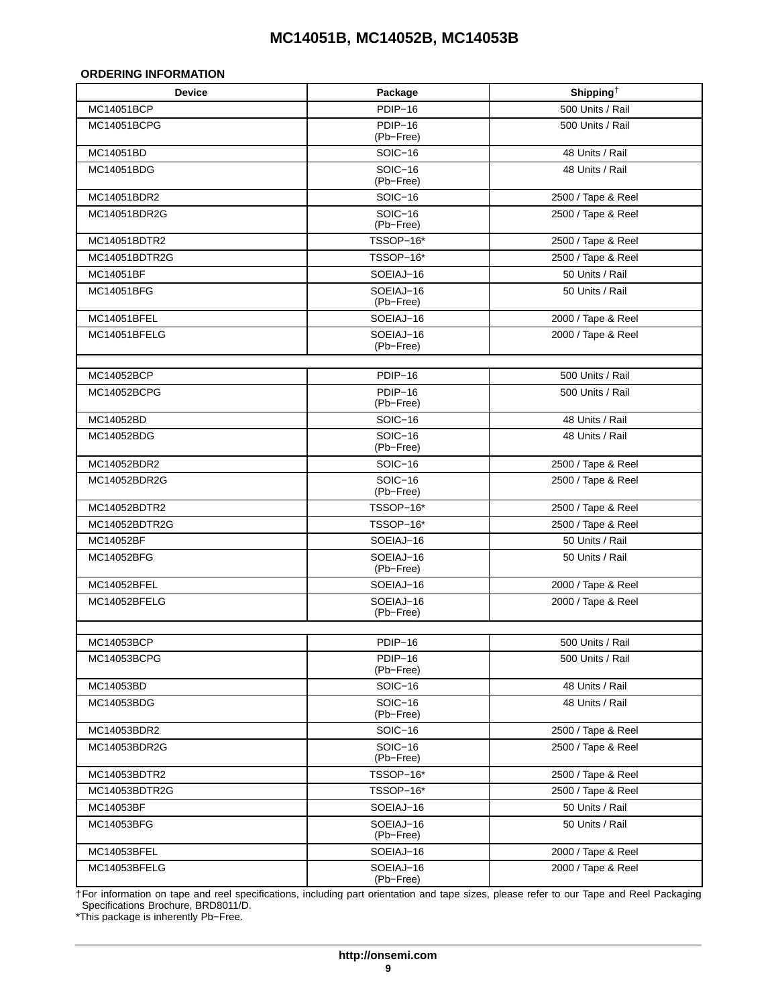#### <span id="page-8-0"></span>**ORDERING INFORMATION**

| <b>Device</b> | Package                            | Shipping <sup>+</sup> |
|---------------|------------------------------------|-----------------------|
| MC14051BCP    | PDIP-16                            | 500 Units / Rail      |
| MC14051BCPG   | $\overline{P}$ DIP-16<br>(Pb-Free) | 500 Units / Rail      |
| MC14051BD     | SOIC-16                            | 48 Units / Rail       |
| MC14051BDG    | $SOIC-16$<br>(Pb-Free)             | 48 Units / Rail       |
| MC14051BDR2   | SOIC-16                            | 2500 / Tape & Reel    |
| MC14051BDR2G  | SOIC-16<br>(Pb-Free)               | 2500 / Tape & Reel    |
| MC14051BDTR2  | TSSOP-16*                          | 2500 / Tape & Reel    |
| MC14051BDTR2G | TSSOP-16*                          | 2500 / Tape & Reel    |
| MC14051BF     | SOEIAJ-16                          | 50 Units / Rail       |
| MC14051BFG    | SOEIAJ-16<br>(Pb-Free)             | 50 Units / Rail       |
| MC14051BFEL   | SOEIAJ-16                          | 2000 / Tape & Reel    |
| MC14051BFELG  | SOEIAJ-16<br>(Pb-Free)             | 2000 / Tape & Reel    |
| MC14052BCP    | PDIP-16                            | 500 Units / Rail      |
| MC14052BCPG   | $\overline{P}$ DIP-16<br>(Pb-Free) | 500 Units / Rail      |
| MC14052BD     | SOIC-16                            | 48 Units / Rail       |
| MC14052BDG    | $SOIC-16$<br>(Pb-Free)             | 48 Units / Rail       |
| MC14052BDR2   | SOIC-16                            | 2500 / Tape & Reel    |
| MC14052BDR2G  | SOIC-16<br>(Pb-Free)               | 2500 / Tape & Reel    |
| MC14052BDTR2  | TSSOP-16*                          | 2500 / Tape & Reel    |
| MC14052BDTR2G | TSSOP-16*                          | 2500 / Tape & Reel    |
| MC14052BF     | SOEIAJ-16                          | 50 Units / Rail       |
| MC14052BFG    | SOEIAJ-16<br>(Pb-Free)             | 50 Units / Rail       |
| MC14052BFEL   | SOEIAJ-16                          | 2000 / Tape & Reel    |
| MC14052BFELG  | SOEIAJ-16<br>(Pb-Free)             | 2000 / Tape & Reel    |
| MC14053BCP    | PDIP-16                            | 500 Units / Rail      |
| MC14053BCPG   | PDIP-16<br>(Pb-Free)               | 500 Units / Rail      |
| MC14053BD     | <b>SOIC-16</b>                     | 48 Units / Rail       |
| MC14053BDG    | SOIC-16<br>(Pb-Free)               | 48 Units / Rail       |
| MC14053BDR2   | <b>SOIC-16</b>                     | 2500 / Tape & Reel    |
| MC14053BDR2G  | <b>SOIC-16</b><br>(Pb-Free)        | 2500 / Tape & Reel    |
| MC14053BDTR2  | TSSOP-16*                          | 2500 / Tape & Reel    |
| MC14053BDTR2G | TSSOP-16*                          | 2500 / Tape & Reel    |
| MC14053BF     | SOEIAJ-16                          | 50 Units / Rail       |
| MC14053BFG    | SOEIAJ-16<br>(Pb-Free)             | 50 Units / Rail       |
| MC14053BFEL   | SOEIAJ-16                          | 2000 / Tape & Reel    |
| MC14053BFELG  | SOEIAJ-16<br>(Pb-Free)             | 2000 / Tape & Reel    |

†For information on tape and reel specifications, including part orientation and tape sizes, please refer to our Tape and Reel Packaging Specifications Brochure, BRD8011/D.

\*This package is inherently Pb−Free.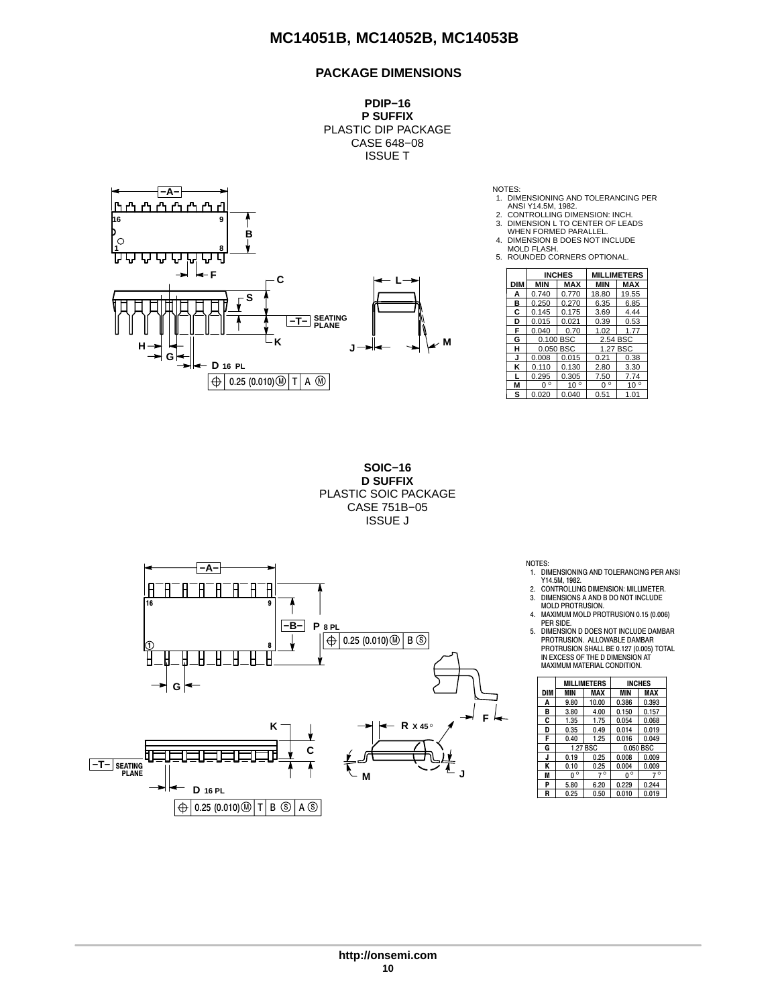#### **PACKAGE DIMENSIONS**

**PDIP−16 P SUFFIX** PLASTIC DIP PACKAGE CASE 648−08 ISSUE T



NOTES:

- 1. DIMENSIONING AND TOLERANCING PER
- 
- ANSI Y14.5M, 1982. 2. CONTROLLING DIMENSION: INCH. 3. DIMENSION L TO CENTER OF LEADS WHEN FORMED PARALLEL.
- 4. DIMENSION B DOES NOT INCLUDE
- MOLD FLASH.
- 5. ROUNDED CORNERS OPTIONAL.

|     |             | <b>INCHES</b> |             | <b>MILLIMETERS</b> |
|-----|-------------|---------------|-------------|--------------------|
| DIM | <b>MIN</b>  | MAX           | <b>MIN</b>  | <b>MAX</b>         |
| А   | 0.740       | 0.770         | 18.80       | 19.55              |
| в   | 0.250       | 0.270         | 6.35        | 6.85               |
| C   | 0.145       | 0.175         | 3.69        | 4.44               |
| D   | 0.015       | 0.021         | 0.39        | 0.53               |
| F   | 0.040       | 0.70          | 1.02        | 1.77               |
| G   |             | 0.100 BSC     | 2.54 BSC    |                    |
| н   |             | 0.050 BSC     | 1.27 BSC    |                    |
| J   | 0.008       | 0.015         | 0.21        | 0.38               |
| κ   | 0.110       | 0.130         | 2.80        | 3.30               |
|     | 0.295       | 0.305         | 7.50        | 7.74               |
| М   | $0^{\circ}$ | $10^{\circ}$  | $0^{\circ}$ | $10^{\circ}$       |
| s   | 0.020       | 0.040         | 0.51        | 1.01               |

**SOIC−16 D SUFFIX** PLASTIC SOIC PACKAGE CASE 751B−05 ISSUE J



- NOTES: 1. DIMENSIONING AND TOLERANCING PER ANSI Y14.5M, 1982. 2. CONTROLLING DIMENSION: MILLIMETER.
- 
- 3. DIMENSIONS A AND B DO NOT INCLUDE MOLD PROTRUSION. 4. MAXIMUM MOLD PROTRUSION 0.15 (0.006)
- PER SIDE. 5. DIMENSION D DOES NOT INCLUDE DAMBAR
- PROTRUSION. ALLOWABLE DAMBAR<br>PROTRUSION SHALL BE 0.127 (0.005) TOTAL<br>IN EXCESS OF THE D DIMENSION AT<br>MAXIMUM MATERIAL CONDITION.

|     |             | <b>MILLIMETERS</b> | <b>INCHES</b> |           |  |  |
|-----|-------------|--------------------|---------------|-----------|--|--|
| DIM | <b>MIN</b>  | MAX                | <b>MIN</b>    | MAX       |  |  |
| A   | 9.80        | 10.00              | 0.386         | 0.393     |  |  |
| в   | 3.80        | 4.00               | 0.150         | 0.157     |  |  |
| C   | 1.35        | 1.75               | 0.054         | 0.068     |  |  |
| D   | 0.35        | 0.49               | 0.014         | 0.019     |  |  |
| F   | 0.40        | 1.25               | 0.016         | 0.049     |  |  |
| G   |             | 1.27 BSC           |               | 0.050 BSC |  |  |
| J   | 0.19        | 0.25               | 0.008         | 0.009     |  |  |
| Κ   | 0.10        | 0.25               | 0.004         | 0.009     |  |  |
| M   | $0^{\circ}$ | $7^\circ$          | $0^{\circ}$   | $7^\circ$ |  |  |
| P   | 5.80        | 6.20               | 0.229         | 0.244     |  |  |
| R   | 0.25        | 0.50               | 0.010         | 0.019     |  |  |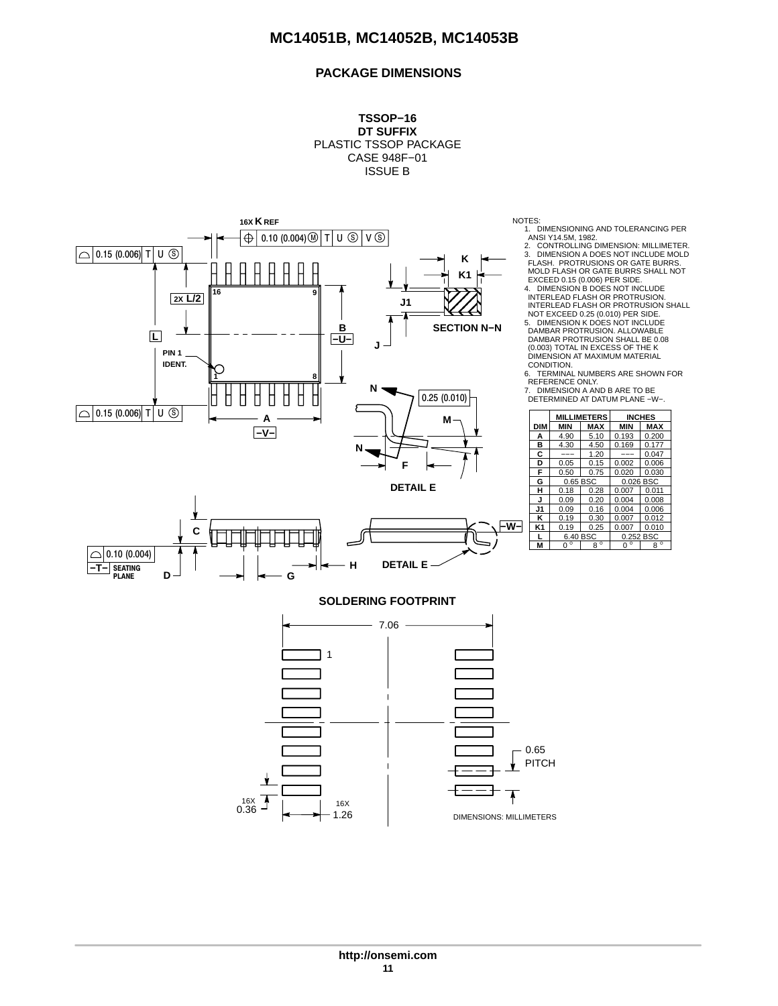# **PACKAGE DIMENSIONS**





**DIM MIN MAX MIN MAX**<br> **A** 4.90 5.10 0.193 0.200<br> **B** 4.30 4.50 0.169 0.177 **MILLIMETERS INCHES** 4.90 5.10 0.193 0.200<br>4.30 4.50 0.169 0.177 **B** 4.30 4.50 0.169 0.177<br> **C** --- 1.20 --- 0.047<br> **D** 0.05 0.15 0.002 0.006 <u><sup>−−−</sup> 1.20 −−− 0.047<br>0.05 0.15 0.002 0.006</u> **D** 0.05 0.15 0.002 0.006<br>**F** 0.50 0.75 0.020 0.030 **F** 0.50 0.75 0.020 0.030<br>**G** 0.65 BSC 0.026 BSC **G** 0.65 BSC **H** 0.18 0.28 0.007 0.011<br>**J** 0.09 0.20 0.004 0.008<br>**J1** 0.09 0.16 0.004 0.006 **J** 0.09 0.20 0.004 0.008 **J1** 0.09 0.16 0.004 0.006<br> **K** 0.19 0.30 0.007 0.012<br> **K1** 0.19 0.25 0.007 0.010 0.007 0.012 **K1** 0.19 0.25 0.007 0.010<br>**L** 6.40 BSC 0.252 BSC **L** 6.40 BSC 0.252 BSC<br>M 0.2 8 **M** 0  $\circ$  8 0 0 8 REFERENCE ONLY. 7. DIMENSION A AND B ARE TO BE DETERMINED AT DATUM PLANE −W−. 6.40 BSC --

(0.003) TOTAL IN EXCESS OF THE K DIMENSION AT MAXIMUM MATERIAL



**http://onsemi.com 11**